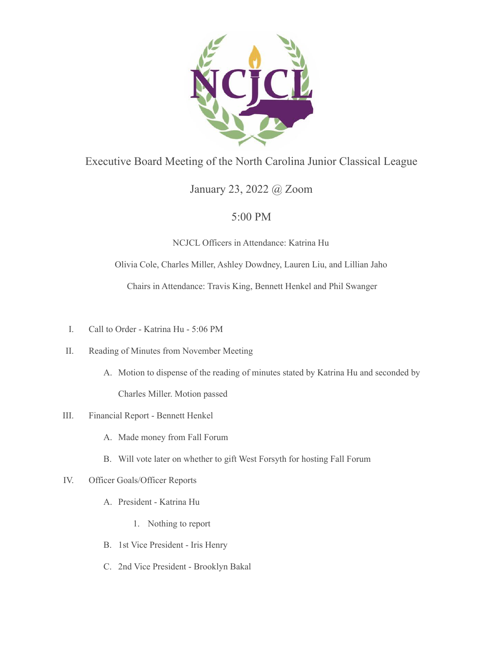

## Executive Board Meeting of the North Carolina Junior Classical League

# January 23, 2022 @ Zoom

## 5:00 PM

### NCJCL Officers in Attendance: Katrina Hu

### Olivia Cole, Charles Miller, Ashley Dowdney, Lauren Liu, and Lillian Jaho

Chairs in Attendance: Travis King, Bennett Henkel and Phil Swanger

- I. Call to Order Katrina Hu 5:06 PM
- II. Reading of Minutes from November Meeting
	- A. Motion to dispense of the reading of minutes stated by Katrina Hu and seconded by Charles Miller. Motion passed

#### III. Financial Report - Bennett Henkel

- A. Made money from Fall Forum
- B. Will vote later on whether to gift West Forsyth for hosting Fall Forum

#### IV. Officer Goals/Officer Reports

- A. President Katrina Hu
	- 1. Nothing to report
- B. 1st Vice President Iris Henry
- C. 2nd Vice President Brooklyn Bakal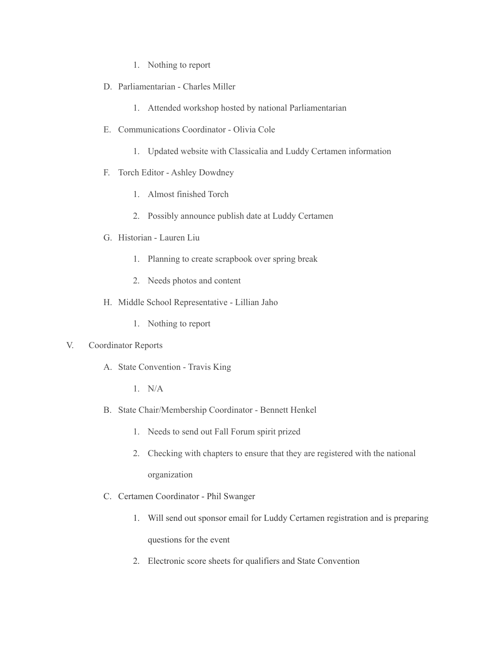- 1. Nothing to report
- D. Parliamentarian Charles Miller
	- 1. Attended workshop hosted by national Parliamentarian
- E. Communications Coordinator Olivia Cole
	- 1. Updated website with Classicalia and Luddy Certamen information
- F. Torch Editor Ashley Dowdney
	- 1. Almost finished Torch
	- 2. Possibly announce publish date at Luddy Certamen
- G. Historian Lauren Liu
	- 1. Planning to create scrapbook over spring break
	- 2. Needs photos and content
- H. Middle School Representative Lillian Jaho
	- 1. Nothing to report

#### V. Coordinator Reports

- A. State Convention Travis King
	- 1. N/A
- B. State Chair/Membership Coordinator Bennett Henkel
	- 1. Needs to send out Fall Forum spirit prized
	- 2. Checking with chapters to ensure that they are registered with the national organization
- C. Certamen Coordinator Phil Swanger
	- 1. Will send out sponsor email for Luddy Certamen registration and is preparing questions for the event
	- 2. Electronic score sheets for qualifiers and State Convention